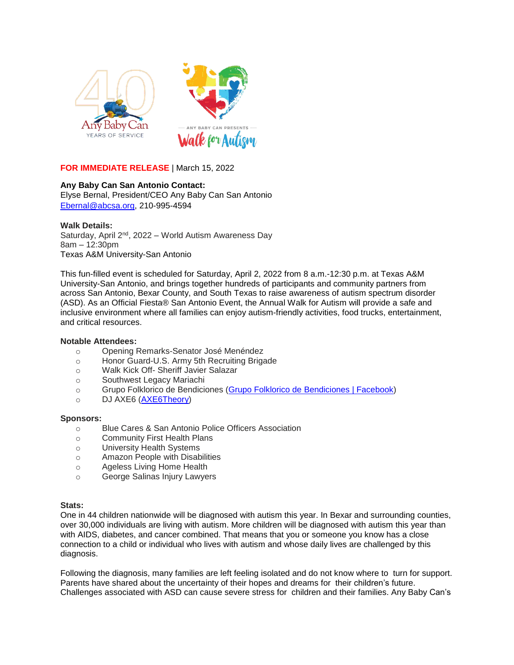

**FOR IMMEDIATE RELEASE** | March 15, 2022

# **Any Baby Can San Antonio Contact:**

Elyse Bernal, President/CEO Any Baby Can San Antonio [Ebernal@abcsa.org,](mailto:Ebernal@abcsa.org) 210-995-4594

## **Walk Details:**

Saturday, April 2<sup>nd</sup>, 2022 – World Autism Awareness Day 8am – 12:30pm Texas A&M University-San Antonio

This fun-filled event is scheduled for Saturday, April 2, 2022 from 8 a.m.-12:30 p.m. at Texas A&M University-San Antonio, and brings together hundreds of participants and community partners from across San Antonio, Bexar County, and South Texas to raise awareness of autism spectrum disorder (ASD). As an Official Fiesta® San Antonio Event, the Annual Walk for Autism will provide a safe and inclusive environment where all families can enjoy autism-friendly activities, food trucks, entertainment, and critical resources.

## **Notable Attendees:**

- o Opening Remarks-Senator José Menéndez
- o Honor Guard-U.S. Army 5th Recruiting Brigade
- o Walk Kick Off- Sheriff Javier Salazar
- o Southwest Legacy Mariachi
- o Grupo Folklorico de Bendiciones (Grupo Folklorico de [Bendiciones](https://www.facebook.com/Grupofolkloricodebendiciones) | Facebook)
- o DJ AXE6 [\(AXE6Theory\)](http://www.axe6theory.com/)

### **Sponsors:**

- o Blue Cares & San Antonio Police Officers Association
- o Community First Health Plans
- o University Health Systems
- o Amazon People with Disabilities
- o Ageless Living Home Health
- o George Salinas Injury Lawyers

### **Stats:**

One in 44 children nationwide will be diagnosed with autism this year. In Bexar and surrounding counties, over 30,000 individuals are living with autism. More children will be diagnosed with autism this year than with AIDS, diabetes, and cancer combined. That means that you or someone you know has a close connection to a child or individual who lives with autism and whose daily lives are challenged by this diagnosis.

Following the diagnosis, many families are left feeling isolated and do not know where to turn for support. Parents have shared about the uncertainty of their hopes and dreams for their children's future. Challenges associated with ASD can cause severe stress for children and their families. Any Baby Can's